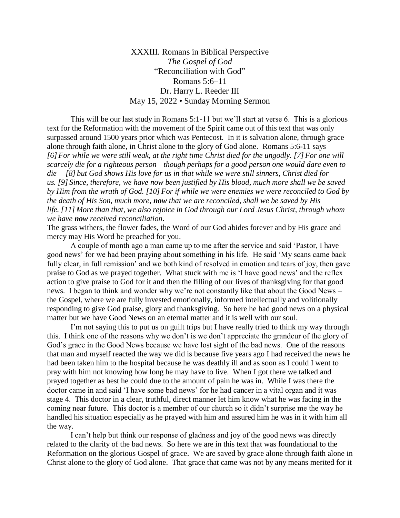XXXIII. Romans in Biblical Perspective *The Gospel of God* "Reconciliation with God" Romans 5:6–11 Dr. Harry L. Reeder III May 15, 2022 • Sunday Morning Sermon

This will be our last study in Romans 5:1-11 but we'll start at verse 6. This is a glorious text for the Reformation with the movement of the Spirit came out of this text that was only surpassed around 1500 years prior which was Pentecost. In it is salvation alone, through grace alone through faith alone, in Christ alone to the glory of God alone. Romans 5:6-11 says *[6] For while we were still weak, at the right time Christ died for the ungodly. [7] For one will scarcely die for a righteous person—though perhaps for a good person one would dare even to die— [8] but God shows His love for us in that while we were still sinners, Christ died for us. [9] Since, therefore, we have now been justified by His blood, much more shall we be saved by Him from the wrath of God. [10] For if while we were enemies we were reconciled to God by the death of His Son, much more, now that we are reconciled, shall we be saved by His life. [11] More than that, we also rejoice in God through our Lord Jesus Christ, through whom we have now received reconciliation*.

The grass withers, the flower fades, the Word of our God abides forever and by His grace and mercy may His Word be preached for you.

A couple of month ago a man came up to me after the service and said 'Pastor, I have good news' for we had been praying about something in his life. He said 'My scans came back fully clear, in full remission' and we both kind of resolved in emotion and tears of joy, then gave praise to God as we prayed together. What stuck with me is 'I have good news' and the reflex action to give praise to God for it and then the filling of our lives of thanksgiving for that good news. I began to think and wonder why we're not constantly like that about the Good News – the Gospel, where we are fully invested emotionally, informed intellectually and volitionally responding to give God praise, glory and thanksgiving. So here he had good news on a physical matter but we have Good News on an eternal matter and it is well with our soul.

I'm not saying this to put us on guilt trips but I have really tried to think my way through this. I think one of the reasons why we don't is we don't appreciate the grandeur of the glory of God's grace in the Good News because we have lost sight of the bad news. One of the reasons that man and myself reacted the way we did is because five years ago I had received the news he had been taken him to the hospital because he was deathly ill and as soon as I could I went to pray with him not knowing how long he may have to live. When I got there we talked and prayed together as best he could due to the amount of pain he was in. While I was there the doctor came in and said 'I have some bad news' for he had cancer in a vital organ and it was stage 4. This doctor in a clear, truthful, direct manner let him know what he was facing in the coming near future. This doctor is a member of our church so it didn't surprise me the way he handled his situation especially as he prayed with him and assured him he was in it with him all the way.

I can't help but think our response of gladness and joy of the good news was directly related to the clarity of the bad news. So here we are in this text that was foundational to the Reformation on the glorious Gospel of grace. We are saved by grace alone through faith alone in Christ alone to the glory of God alone. That grace that came was not by any means merited for it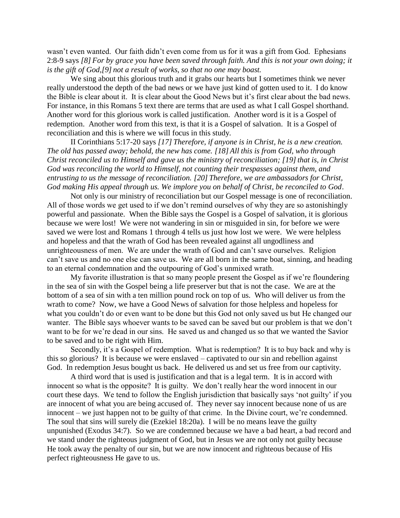wasn't even wanted. Our faith didn't even come from us for it was a gift from God. Ephesians 2:8-9 says *[8] For by grace you have been saved through faith. And this is not your own doing; it is the gift of God,[9] not a result of works, so that no one may boast.*

We sing about this glorious truth and it grabs our hearts but I sometimes think we never really understood the depth of the bad news or we have just kind of gotten used to it. I do know the Bible is clear about it. It is clear about the Good News but it's first clear about the bad news. For instance, in this Romans 5 text there are terms that are used as what I call Gospel shorthand. Another word for this glorious work is called justification. Another word is it is a Gospel of redemption. Another word from this text, is that it is a Gospel of salvation. It is a Gospel of reconciliation and this is where we will focus in this study.

II Corinthians 5:17-20 says *[17] Therefore, if anyone is in Christ, he is a new creation. The old has passed away; behold, the new has come. [18] All this is from God, who through Christ reconciled us to Himself and gave us the ministry of reconciliation;* [19] that is, in Christ *God was reconciling the world to Himself, not counting their trespasses against them, and entrusting to us the message of reconciliation. [20] Therefore, we are ambassadors for Christ, God making His appeal through us. We implore you on behalf of Christ, be reconciled to God*.

Not only is our ministry of reconciliation but our Gospel message is one of reconciliation. All of those words we get used to if we don't remind ourselves of why they are so astonishingly powerful and passionate. When the Bible says the Gospel is a Gospel of salvation, it is glorious because we were lost! We were not wandering in sin or misguided in sin, for before we were saved we were lost and Romans 1 through 4 tells us just how lost we were. We were helpless and hopeless and that the wrath of God has been revealed against all ungodliness and unrighteousness of men. We are under the wrath of God and can't save ourselves. Religion can't save us and no one else can save us. We are all born in the same boat, sinning, and heading to an eternal condemnation and the outpouring of God's unmixed wrath.

My favorite illustration is that so many people present the Gospel as if we're floundering in the sea of sin with the Gospel being a life preserver but that is not the case. We are at the bottom of a sea of sin with a ten million pound rock on top of us. Who will deliver us from the wrath to come? Now, we have a Good News of salvation for those helpless and hopeless for what you couldn't do or even want to be done but this God not only saved us but He changed our wanter. The Bible says whoever wants to be saved can be saved but our problem is that we don't want to be for we're dead in our sins. He saved us and changed us so that we wanted the Savior to be saved and to be right with Him.

Secondly, it's a Gospel of redemption. What is redemption? It is to buy back and why is this so glorious? It is because we were enslaved – captivated to our sin and rebellion against God. In redemption Jesus bought us back. He delivered us and set us free from our captivity.

A third word that is used is justification and that is a legal term. It is in accord with innocent so what is the opposite? It is guilty. We don't really hear the word innocent in our court these days. We tend to follow the English jurisdiction that basically says 'not guilty' if you are innocent of what you are being accused of. They never say innocent because none of us are innocent – we just happen not to be guilty of that crime. In the Divine court, we're condemned. The soul that sins will surely die (Ezekiel 18:20a). I will be no means leave the guilty unpunished (Exodus 34:7). So we are condemned because we have a bad heart, a bad record and we stand under the righteous judgment of God, but in Jesus we are not only not guilty because He took away the penalty of our sin, but we are now innocent and righteous because of His perfect righteousness He gave to us.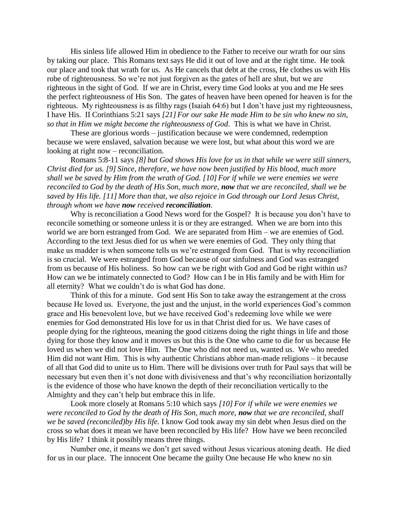His sinless life allowed Him in obedience to the Father to receive our wrath for our sins by taking our place. This Romans text says He did it out of love and at the right time. He took our place and took that wrath for us. As He cancels that debt at the cross, He clothes us with His robe of righteousness. So we're not just forgiven as the gates of hell are shut, but we are righteous in the sight of God. If we are in Christ, every time God looks at you and me He sees the perfect righteousness of His Son. The gates of heaven have been opened for heaven is for the righteous. My righteousness is as filthy rags (Isaiah 64:6) but I don't have just my righteousness, I have His. II Corinthians 5:21 says *[21] For our sake He made Him to be sin who knew no sin, so that in Him we might become the righteousness of God*. This is what we have in Christ.

These are glorious words – justification because we were condemned, redemption because we were enslaved, salvation because we were lost, but what about this word we are looking at right now – reconciliation.

Romans 5:8-11 says *[8] but God shows His love for us in that while we were still sinners, Christ died for us. [9] Since, therefore, we have now been justified by His blood, much more shall we be saved by Him from the wrath of God. [10] For if while we were enemies we were reconciled to God by the death of His Son, much more, now that we are reconciled, shall we be saved by His life. [11] More than that, we also rejoice in God through our Lord Jesus Christ, through whom we have now received reconciliation*.

Why is reconciliation a Good News word for the Gospel? It is because you don't have to reconcile something or someone unless it is or they are estranged. When we are born into this world we are born estranged from God. We are separated from Him – we are enemies of God. According to the text Jesus died for us when we were enemies of God. They only thing that make us madder is when someone tells us we're estranged from God. That is why reconciliation is so crucial. We were estranged from God because of our sinfulness and God was estranged from us because of His holiness. So how can we be right with God and God be right within us? How can we be intimately connected to God? How can I be in His family and be with Him for all eternity? What we couldn't do is what God has done.

Think of this for a minute. God sent His Son to take away the estrangement at the cross because He loved us. Everyone, the just and the unjust, in the world experiences God's common grace and His benevolent love, but we have received God's redeeming love while we were enemies for God demonstrated His love for us in that Christ died for us. We have cases of people dying for the righteous, meaning the good citizens doing the right things in life and those dying for those they know and it moves us but this is the One who came to die for us because He loved us when we did not love Him. The One who did not need us, wanted us. We who needed Him did not want Him. This is why authentic Christians abhor man-made religions – it because of all that God did to unite us to Him. There will be divisions over truth for Paul says that will be necessary but even then it's not done with divisiveness and that's why reconciliation horizontally is the evidence of those who have known the depth of their reconciliation vertically to the Almighty and they can't help but embrace this in life.

Look more closely at Romans 5:10 which says *[10] For if while we were enemies we were reconciled to God by the death of His Son, much more, now that we are reconciled, shall we be saved (reconciled)by His life.* I know God took away my sin debt when Jesus died on the cross so what does it mean we have been reconciled by His life? How have we been reconciled by His life? I think it possibly means three things.

Number one, it means we don't get saved without Jesus vicarious atoning death. He died for us in our place. The innocent One became the guilty One because He who knew no sin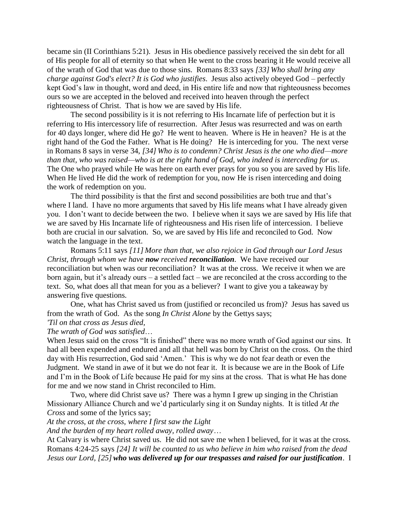became sin (II Corinthians 5:21). Jesus in His obedience passively received the sin debt for all of His people for all of eternity so that when He went to the cross bearing it He would receive all of the wrath of God that was due to those sins. Romans 8:33 says *[33] Who shall bring any charge against God's elect? It is God who justifies*. Jesus also actively obeyed God – perfectly kept God's law in thought, word and deed, in His entire life and now that righteousness becomes ours so we are accepted in the beloved and received into heaven through the perfect righteousness of Christ. That is how we are saved by His life.

The second possibility is it is not referring to His Incarnate life of perfection but it is referring to His intercessory life of resurrection. After Jesus was resurrected and was on earth for 40 days longer, where did He go? He went to heaven. Where is He in heaven? He is at the right hand of the God the Father. What is He doing? He is interceding for you. The next verse in Romans 8 says in verse 34, *[34] Who is to condemn? Christ Jesus is the one who died—more than that, who was raised—who is at the right hand of God, who indeed is interceding for us*. The One who prayed while He was here on earth ever prays for you so you are saved by His life. When He lived He did the work of redemption for you, now He is risen interceding and doing the work of redemption on you.

The third possibility is that the first and second possibilities are both true and that's where I land. I have no more arguments that saved by His life means what I have already given you. I don't want to decide between the two. I believe when it says we are saved by His life that we are saved by His Incarnate life of righteousness and His risen life of intercession. I believe both are crucial in our salvation. So, we are saved by His life and reconciled to God. Now watch the language in the text.

Romans 5:11 says *[11] More than that, we also rejoice in God through our Lord Jesus Christ, through whom we have now received reconciliation*. We have received our reconciliation but when was our reconciliation? It was at the cross. We receive it when we are born again, but it's already ours – a settled fact – we are reconciled at the cross according to the text. So, what does all that mean for you as a believer? I want to give you a takeaway by answering five questions.

One, what has Christ saved us from (justified or reconciled us from)? Jesus has saved us from the wrath of God. As the song *In Christ Alone* by the Gettys says;

## *'Til on that [cross](https://www.definitions.net/definition/cross) as [Jesus](https://www.definitions.net/definition/Jesus) died,*

*The [wrath](https://www.definitions.net/definition/wrath) of God was satisfied*…

When Jesus said on the cross "It is finished" there was no more wrath of God against our sins. It had all been expended and endured and all that hell was born by Christ on the cross. On the third day with His resurrection, God said 'Amen.' This is why we do not fear death or even the Judgment. We stand in awe of it but we do not fear it. It is because we are in the Book of Life and I'm in the Book of Life because He paid for my sins at the cross. That is what He has done for me and we now stand in Christ reconciled to Him.

Two, where did Christ save us? There was a hymn I grew up singing in the Christian Missionary Alliance Church and we'd particularly sing it on Sunday nights. It is titled *At the Cross* and some of the lyrics say;

*At the cross, at the cross, where I first saw the Light*

*And the burden of my heart rolled away, rolled away*…

At Calvary is where Christ saved us. He did not save me when I believed, for it was at the cross. Romans 4:24-25 says *[24] It will be counted to us who believe in him who raised from the dead Jesus our Lord, [25] who was delivered up for our trespasses and raised for our justification*. I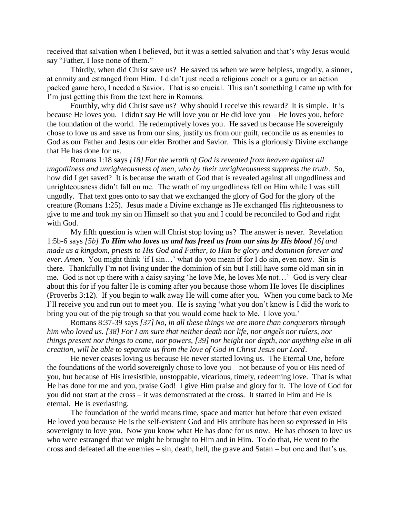received that salvation when I believed, but it was a settled salvation and that's why Jesus would say "Father, I lose none of them."

Thirdly, when did Christ save us? He saved us when we were helpless, ungodly, a sinner, at enmity and estranged from Him. I didn't just need a religious coach or a guru or an action packed game hero, I needed a Savior. That is so crucial. This isn't something I came up with for I'm just getting this from the text here in Romans.

Fourthly, why did Christ save us? Why should I receive this reward? It is simple. It is because He loves you. I didn't say He will love you or He did love you – He loves you, before the foundation of the world. He redemptively loves you. He saved us because He sovereignly chose to love us and save us from our sins, justify us from our guilt, reconcile us as enemies to God as our Father and Jesus our elder Brother and Savior. This is a gloriously Divine exchange that He has done for us.

Romans 1:18 says *[18] For the wrath of God is revealed from heaven against all ungodliness and unrighteousness of men, who by their unrighteousness suppress the truth*. So, how did I get saved? It is because the wrath of God that is revealed against all ungodliness and unrighteousness didn't fall on me. The wrath of my ungodliness fell on Him while I was still ungodly. That text goes onto to say that we exchanged the glory of God for the glory of the creature (Romans 1:25). Jesus made a Divine exchange as He exchanged His righteousness to give to me and took my sin on Himself so that you and I could be reconciled to God and right with God.

My fifth question is when will Christ stop loving us? The answer is never. Revelation 1:5b-6 says *[5b] To Him who loves us and has freed us from our sins by His blood [6] and made us a kingdom, priests to His God and Father, to Him be glory and dominion forever and ever. Amen*. You might think 'if I sin…' what do you mean if for I do sin, even now. Sin is there. Thankfully I'm not living under the dominion of sin but I still have some old man sin in me. God is not up there with a daisy saying 'he love Me, he loves Me not…' God is very clear about this for if you falter He is coming after you because those whom He loves He disciplines (Proverbs 3:12). If you begin to walk away He will come after you. When you come back to Me I'll receive you and run out to meet you. He is saying 'what you don't know is I did the work to bring you out of the pig trough so that you would come back to Me. I love you.'

Romans 8:37-39 says *[37] No, in all these things we are more than conquerors through him who loved us. [38] For I am sure that neither death nor life, nor angels nor rulers, nor things present nor things to come, nor powers, [39] nor height nor depth, nor anything else in all creation, will be able to separate us from the love of God in Christ Jesus our Lord*.

He never ceases loving us because He never started loving us. The Eternal One, before the foundations of the world sovereignly chose to love you – not because of you or His need of you, but because of His irresistible, unstoppable, vicarious, timely, redeeming love. That is what He has done for me and you, praise God! I give Him praise and glory for it. The love of God for you did not start at the cross – it was demonstrated at the cross. It started in Him and He is eternal. He is everlasting.

The foundation of the world means time, space and matter but before that even existed He loved you because He is the self-existent God and His attribute has been so expressed in His sovereignty to love you. Now you know what He has done for us now. He has chosen to love us who were estranged that we might be brought to Him and in Him. To do that, He went to the cross and defeated all the enemies – sin, death, hell, the grave and Satan – but one and that's us.